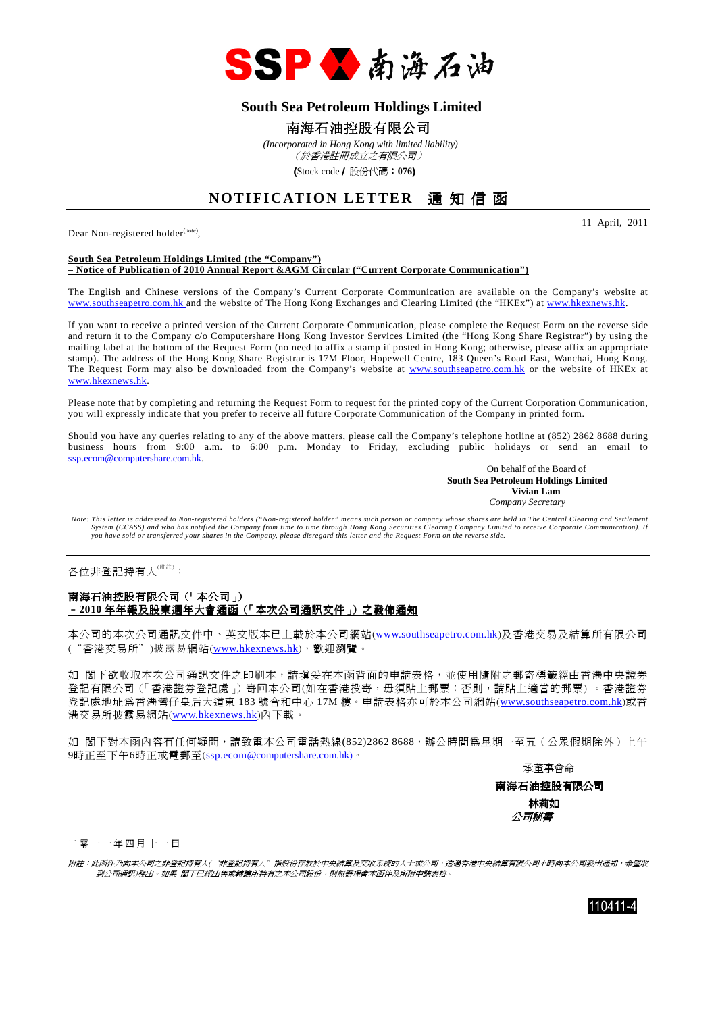

## **South Sea Petroleum Holdings Limited**

### 南海石油控股有限公司

 *(Incorporated in Hong Kong with limited liability)* (於香港註冊成立之有限公司)

(Stock code/ 股份代碼:**076**)

# **NOTIFICATION LETTER** 通知信函

Dear Non-registered holder<sup>(note)</sup>,

11 April, 2011

#### **South Sea Petroleum Holdings Limited (the "Company") – Notice of Publication of 2010 Annual Report &AGM Circular ("Current Corporate Communication")**

The English and Chinese versions of the Company's Current Corporate Communication are available on the Company's website at www.southseapetro.com.hk and the website of The Hong Kong Exchanges and Clearing Limited (the "HKEx") at www.hkexnews.hk.

If you want to receive a printed version of the Current Corporate Communication, please complete the Request Form on the reverse side and return it to the Company c/o Computershare Hong Kong Investor Services Limited (the "Hong Kong Share Registrar") by using the mailing label at the bottom of the Request Form (no need to affix a stamp if posted in Hong Kong; otherwise, please affix an appropriate stamp). The address of the Hong Kong Share Registrar is 17M Floor, Hopewell Centre, 183 Queen's Road East, Wanchai, Hong Kong. The Request Form may also be downloaded from the Company's website at www.southseapetro.com.hk or the website of HKEx at www.hkexnews.hk.

Please note that by completing and returning the Request Form to request for the printed copy of the Current Corporation Communication, you will expressly indicate that you prefer to receive all future Corporate Communication of the Company in printed form.

Should you have any queries relating to any of the above matters, please call the Company's telephone hotline at (852) 2862 8688 during business hours from 9:00 a.m. to 6:00 p.m. Monday to Friday, excluding public holidays or send an email to ssp.ecom@computershare.com.hk.

On behalf of the Board of  **South Sea Petroleum Holdings Limited Vivian Lam**  *Company Secretary* 

*Note: This letter is addressed to Non-registered holders ("Non-registered holder" means such person or company whose shares are held in The Central Clearing and Settlement System (CCASS) and who has notified the Company from time to time through Hong Kong Securities Clearing Company Limited to receive Corporate Communication). If you have sold or transferred your shares in the Company, please disregard this letter and the Request Form on the reverse side.* 

各位非登記持有人<sup>(附註)</sup>:

#### 南海石油控股有限公司(「本公司」) –**2010** 年年報及股東週年大會通函(「本次公司通訊文件」)之發佈通知

本公司的本次公司通訊文件中、英文版本已上載於本公司網站(www.southseapetro.com.hk)及香港交易及結算所有限公司 ("香港交易所")披露易網站(www.hkexnews.hk),歡迎瀏覽。

如 閣下欲收取本次公司通訊文件之印刷本,請填妥在本函背面的申請表格,並使用隨附之郵寄標籤經由香港中央證券 登記有限公司(「香港證券登記處」)寄回本公司(如在香港投寄,毋須貼上郵票;否則,請貼上適當的郵票) 。香港證券 登記處地址為香港灣仔皇后大道東 183 號合和中心 17M 樓。申請表格亦可於本公司網站(www.southseapetro.com.hk)或香 港交易所披露易網站(www.hkexnews.hk)內下載。

如 閣下對本函內容有任何疑問,請致電本公司電話熱線(852)2862 8688,辦公時間為星期一至五(公眾假期除外)上午 9時正至下午6時正或電郵至(ssp.ecom@computershare.com.hk)。

承董事會命

南海石油控股有限公司 林莉如 公司秘書

二 零 一 一 年 四 月 十 一 日

附註:此函件乃向本公司之非登記持有人("非登記持有人"指股份存放於中央結算及交收系統的人士或公司,透過香港中央結算有限公司不時向本公司發出通知,希望收 到公司通訊)發出。如果 閣下已經出售或轉讓所持有之本公司股份,則無需理會本函件及所附申請表格。